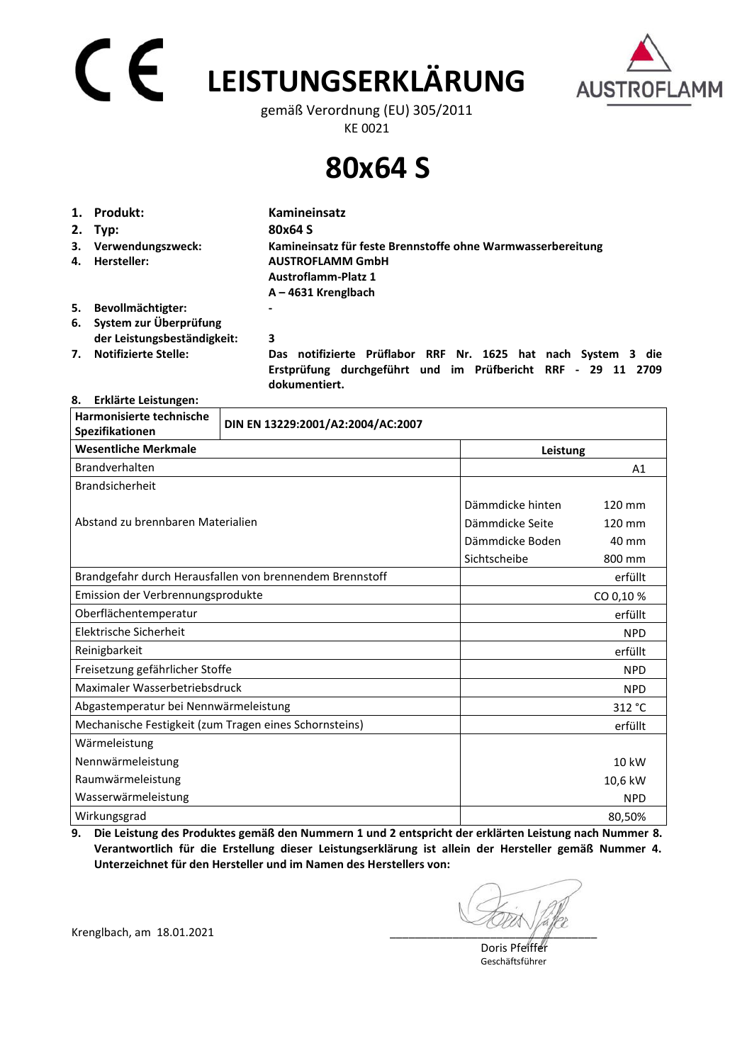# **LEISTUNGSERKLÄRUNG**



gemäß Verordnung (EU) 305/2011 KE 0021

## **80x64 S**

|    | 1. Produkt:                                              | Kamineinsatz                                                                                                                  |  |  |
|----|----------------------------------------------------------|-------------------------------------------------------------------------------------------------------------------------------|--|--|
|    | 2. Typ:                                                  | 80x64 S                                                                                                                       |  |  |
| 4. | 3. Verwendungszweck:<br>Hersteller:                      | Kamineinsatz für feste Brennstoffe ohne Warmwasserbereitung<br><b>AUSTROFLAMM GmbH</b>                                        |  |  |
|    |                                                          | <b>Austroflamm-Platz 1</b><br>$A - 4631$ Krenglbach                                                                           |  |  |
| 5. | Bevollmächtigter:                                        | -                                                                                                                             |  |  |
|    | 6. System zur Überprüfung<br>der Leistungsbeständigkeit: | 3                                                                                                                             |  |  |
| 7. | <b>Notifizierte Stelle:</b>                              | Das notifizierte Prüflabor RRF Nr. 1625 hat nach System 3 die<br>Erstprüfung durchgeführt und im Prüfbericht RRF - 29 11 2709 |  |  |

 **dokumentiert.** 

### **8. Erklärte Leistungen:**

| Harmonisierte technische<br>Spezifikationen            | DIN EN 13229:2001/A2:2004/AC:2007                        |                  |                  |  |
|--------------------------------------------------------|----------------------------------------------------------|------------------|------------------|--|
| <b>Wesentliche Merkmale</b>                            |                                                          |                  | Leistung         |  |
| Brandverhalten                                         |                                                          |                  | A <sub>1</sub>   |  |
| <b>Brandsicherheit</b>                                 |                                                          |                  |                  |  |
|                                                        |                                                          | Dämmdicke hinten | 120 mm           |  |
| Abstand zu brennbaren Materialien                      |                                                          | Dämmdicke Seite  | $120 \text{ mm}$ |  |
|                                                        |                                                          | Dämmdicke Boden  | 40 mm            |  |
|                                                        |                                                          | Sichtscheibe     | 800 mm           |  |
|                                                        | Brandgefahr durch Herausfallen von brennendem Brennstoff |                  | erfüllt          |  |
| Emission der Verbrennungsprodukte                      |                                                          |                  | CO 0,10%         |  |
| Oberflächentemperatur                                  |                                                          |                  | erfüllt          |  |
| Elektrische Sicherheit                                 |                                                          |                  | <b>NPD</b>       |  |
| Reinigbarkeit                                          |                                                          |                  | erfüllt          |  |
| Freisetzung gefährlicher Stoffe                        |                                                          |                  | <b>NPD</b>       |  |
| Maximaler Wasserbetriebsdruck                          |                                                          |                  | <b>NPD</b>       |  |
| Abgastemperatur bei Nennwärmeleistung                  |                                                          |                  | 312 °C           |  |
| Mechanische Festigkeit (zum Tragen eines Schornsteins) |                                                          |                  | erfüllt          |  |
| Wärmeleistung                                          |                                                          |                  |                  |  |
| Nennwärmeleistung                                      |                                                          |                  | 10 kW            |  |
| Raumwärmeleistung                                      |                                                          |                  | 10,6 kW          |  |
| Wasserwärmeleistung                                    |                                                          |                  | <b>NPD</b>       |  |
| Wirkungsgrad                                           |                                                          |                  | 80,50%           |  |

**9. Die Leistung des Produktes gemäß den Nummern 1 und 2 entspricht der erklärten Leistung nach Nummer 8. Verantwortlich für die Erstellung dieser Leistungserklärung ist allein der Hersteller gemäß Nummer 4. Unterzeichnet für den Hersteller und im Namen des Herstellers von:** 

Krenglbach, am 18.01.2021

 Doris Pfeiffer Geschäftsführer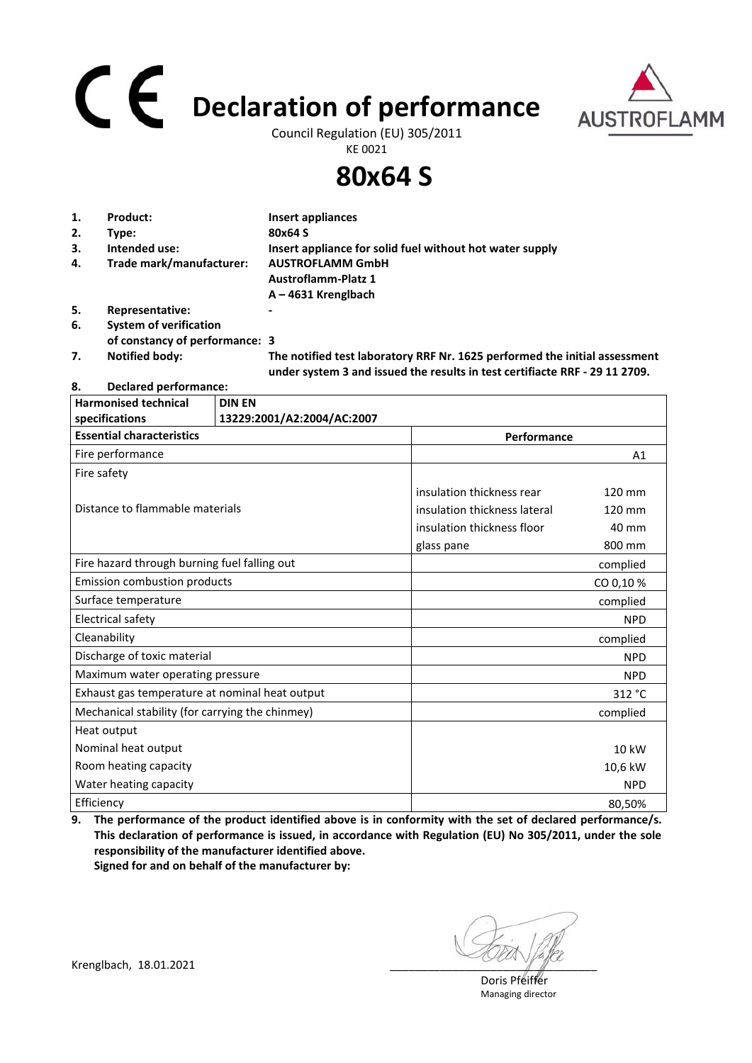## **Declaration of performance**



Council Regulation (EU) 305/2011 KE 0021

### **80x64 S**

| 1. | Product:                       | Insert appliances                                                                                                                                         |
|----|--------------------------------|-----------------------------------------------------------------------------------------------------------------------------------------------------------|
| 2. | Type:                          | 80x64 S                                                                                                                                                   |
| 3. | Intended use:                  | Insert appliance for solid fuel without hot water supply                                                                                                  |
| 4. | Trade mark/manufacturer:       | <b>AUSTROFLAMM GmbH</b>                                                                                                                                   |
|    |                                | <b>Austroflamm-Platz 1</b>                                                                                                                                |
|    |                                | $A - 4631$ Krenglbach                                                                                                                                     |
| 5. | Representative:                |                                                                                                                                                           |
| 6. | <b>System of verification</b>  |                                                                                                                                                           |
|    | of constancy of performance: 3 |                                                                                                                                                           |
| 7. | <b>Notified body:</b>          | The notified test laboratory RRF Nr. 1625 performed the initial assessment<br>under system 3 and issued the results in test certifiacte RRF - 29 11 2709. |

### **8. Declared performance:**

| <b>Harmonised technical</b><br>specifications   | <b>DIN EN</b><br>13229:2001/A2:2004/AC:2007 |                              |            |  |
|-------------------------------------------------|---------------------------------------------|------------------------------|------------|--|
| <b>Essential characteristics</b>                |                                             | Performance                  |            |  |
| Fire performance                                |                                             |                              | A1         |  |
| Fire safety                                     |                                             |                              |            |  |
|                                                 |                                             | insulation thickness rear    | 120 mm     |  |
| Distance to flammable materials                 |                                             | insulation thickness lateral | 120 mm     |  |
|                                                 |                                             | insulation thickness floor   | 40 mm      |  |
|                                                 |                                             | glass pane                   | 800 mm     |  |
| Fire hazard through burning fuel falling out    |                                             |                              | complied   |  |
| <b>Emission combustion products</b>             |                                             |                              | CO 0,10%   |  |
| Surface temperature                             |                                             |                              | complied   |  |
| Electrical safety                               |                                             |                              | <b>NPD</b> |  |
| Cleanability                                    |                                             |                              | complied   |  |
| Discharge of toxic material                     |                                             |                              | <b>NPD</b> |  |
| Maximum water operating pressure                |                                             |                              | <b>NPD</b> |  |
| Exhaust gas temperature at nominal heat output  |                                             |                              | 312 °C     |  |
| Mechanical stability (for carrying the chinmey) |                                             |                              | complied   |  |
| Heat output                                     |                                             |                              |            |  |
| Nominal heat output                             |                                             |                              | 10 kW      |  |
| Room heating capacity                           |                                             |                              | 10,6 kW    |  |
| Water heating capacity                          |                                             |                              | <b>NPD</b> |  |
| Efficiency                                      |                                             |                              | 80,50%     |  |

**9. The performance of the product identified above is in conformity with the set of declared performance/s. This declaration of performance is issued, in accordance with Regulation (EU) No 305/2011, under the sole responsibility of the manufacturer identified above. Signed for and on behalf of the manufacturer by:**

 Doris Pfeiffer Managing director

Krenglbach, 18.01.2021